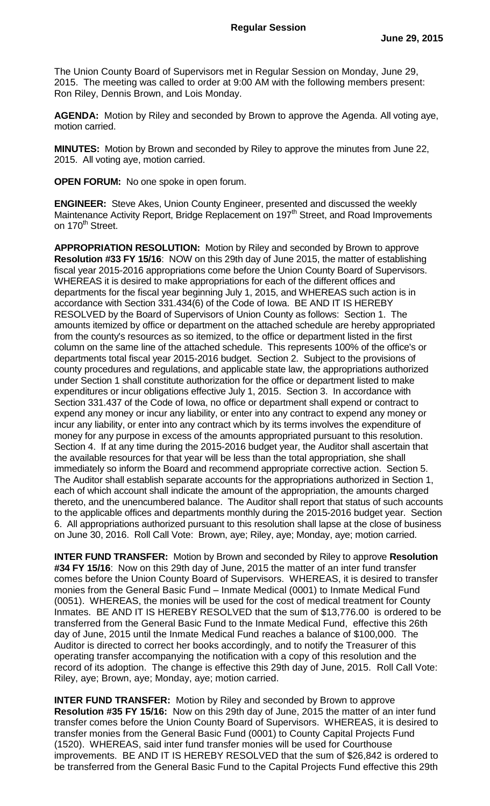The Union County Board of Supervisors met in Regular Session on Monday, June 29, 2015. The meeting was called to order at 9:00 AM with the following members present: Ron Riley, Dennis Brown, and Lois Monday.

**AGENDA:** Motion by Riley and seconded by Brown to approve the Agenda. All voting aye, motion carried.

**MINUTES:** Motion by Brown and seconded by Riley to approve the minutes from June 22, 2015. All voting aye, motion carried.

**OPEN FORUM:** No one spoke in open forum.

**ENGINEER:** Steve Akes, Union County Engineer, presented and discussed the weekly Maintenance Activity Report, Bridge Replacement on 197<sup>th</sup> Street, and Road Improvements on 170<sup>th</sup> Street.

**APPROPRIATION RESOLUTION:** Motion by Riley and seconded by Brown to approve **Resolution #33 FY 15/16**: NOW on this 29th day of June 2015, the matter of establishing fiscal year 2015-2016 appropriations come before the Union County Board of Supervisors. WHEREAS it is desired to make appropriations for each of the different offices and departments for the fiscal year beginning July 1, 2015, and WHEREAS such action is in accordance with Section 331.434(6) of the Code of Iowa. BE AND IT IS HEREBY RESOLVED by the Board of Supervisors of Union County as follows: Section 1. The amounts itemized by office or department on the attached schedule are hereby appropriated from the county's resources as so itemized, to the office or department listed in the first column on the same line of the attached schedule. This represents 100% of the office's or departments total fiscal year 2015-2016 budget. Section 2. Subject to the provisions of county procedures and regulations, and applicable state law, the appropriations authorized under Section 1 shall constitute authorization for the office or department listed to make expenditures or incur obligations effective July 1, 2015. Section 3. In accordance with Section 331.437 of the Code of Iowa, no office or department shall expend or contract to expend any money or incur any liability, or enter into any contract to expend any money or incur any liability, or enter into any contract which by its terms involves the expenditure of money for any purpose in excess of the amounts appropriated pursuant to this resolution. Section 4. If at any time during the 2015-2016 budget year, the Auditor shall ascertain that the available resources for that year will be less than the total appropriation, she shall immediately so inform the Board and recommend appropriate corrective action. Section 5. The Auditor shall establish separate accounts for the appropriations authorized in Section 1, each of which account shall indicate the amount of the appropriation, the amounts charged thereto, and the unencumbered balance. The Auditor shall report that status of such accounts to the applicable offices and departments monthly during the 2015-2016 budget year. Section 6. All appropriations authorized pursuant to this resolution shall lapse at the close of business on June 30, 2016. Roll Call Vote: Brown, aye; Riley, aye; Monday, aye; motion carried.

**INTER FUND TRANSFER:** Motion by Brown and seconded by Riley to approve **Resolution #34 FY 15/16**: Now on this 29th day of June, 2015 the matter of an inter fund transfer comes before the Union County Board of Supervisors. WHEREAS, it is desired to transfer monies from the General Basic Fund – Inmate Medical (0001) to Inmate Medical Fund (0051). WHEREAS, the monies will be used for the cost of medical treatment for County Inmates. BE AND IT IS HEREBY RESOLVED that the sum of \$13,776.00 is ordered to be transferred from the General Basic Fund to the Inmate Medical Fund, effective this 26th day of June, 2015 until the Inmate Medical Fund reaches a balance of \$100,000. The Auditor is directed to correct her books accordingly, and to notify the Treasurer of this operating transfer accompanying the notification with a copy of this resolution and the record of its adoption. The change is effective this 29th day of June, 2015. Roll Call Vote: Riley, aye; Brown, aye; Monday, aye; motion carried.

**INTER FUND TRANSFER:** Motion by Riley and seconded by Brown to approve **Resolution #35 FY 15/16:** Now on this 29th day of June, 2015 the matter of an inter fund transfer comes before the Union County Board of Supervisors. WHEREAS, it is desired to transfer monies from the General Basic Fund (0001) to County Capital Projects Fund (1520). WHEREAS, said inter fund transfer monies will be used for Courthouse improvements. BE AND IT IS HEREBY RESOLVED that the sum of \$26,842 is ordered to be transferred from the General Basic Fund to the Capital Projects Fund effective this 29th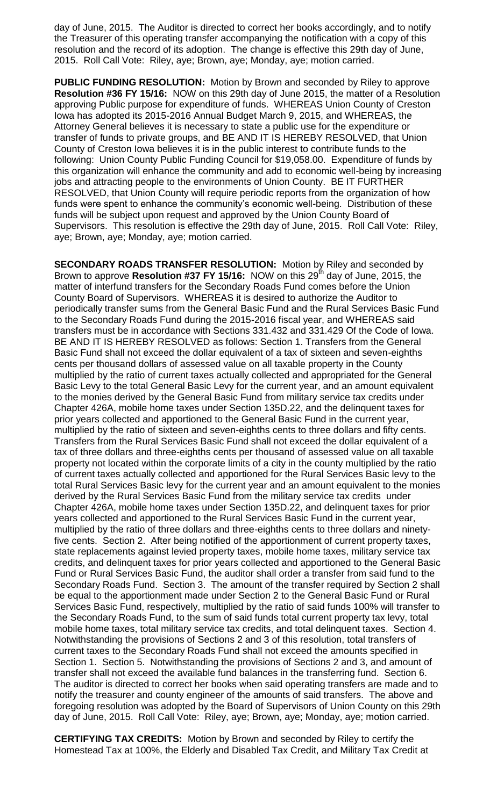day of June, 2015. The Auditor is directed to correct her books accordingly, and to notify the Treasurer of this operating transfer accompanying the notification with a copy of this resolution and the record of its adoption. The change is effective this 29th day of June, 2015. Roll Call Vote: Riley, aye; Brown, aye; Monday, aye; motion carried.

**PUBLIC FUNDING RESOLUTION:** Motion by Brown and seconded by Riley to approve **Resolution #36 FY 15/16:** NOW on this 29th day of June 2015, the matter of a Resolution approving Public purpose for expenditure of funds. WHEREAS Union County of Creston Iowa has adopted its 2015-2016 Annual Budget March 9, 2015, and WHEREAS, the Attorney General believes it is necessary to state a public use for the expenditure or transfer of funds to private groups, and BE AND IT IS HEREBY RESOLVED, that Union County of Creston Iowa believes it is in the public interest to contribute funds to the following: Union County Public Funding Council for \$19,058.00. Expenditure of funds by this organization will enhance the community and add to economic well-being by increasing jobs and attracting people to the environments of Union County. BE IT FURTHER RESOLVED, that Union County will require periodic reports from the organization of how funds were spent to enhance the community's economic well-being. Distribution of these funds will be subject upon request and approved by the Union County Board of Supervisors. This resolution is effective the 29th day of June, 2015. Roll Call Vote: Riley, aye; Brown, aye; Monday, aye; motion carried.

**SECONDARY ROADS TRANSFER RESOLUTION:** Motion by Riley and seconded by Brown to approve **Resolution #37 FY 15/16:** NOW on this 29<sup>th</sup> day of June, 2015, the matter of interfund transfers for the Secondary Roads Fund comes before the Union County Board of Supervisors. WHEREAS it is desired to authorize the Auditor to periodically transfer sums from the General Basic Fund and the Rural Services Basic Fund to the Secondary Roads Fund during the 2015-2016 fiscal year, and WHEREAS said transfers must be in accordance with Sections 331.432 and 331.429 Of the Code of Iowa. BE AND IT IS HEREBY RESOLVED as follows: Section 1. Transfers from the General Basic Fund shall not exceed the dollar equivalent of a tax of sixteen and seven-eighths cents per thousand dollars of assessed value on all taxable property in the County multiplied by the ratio of current taxes actually collected and appropriated for the General Basic Levy to the total General Basic Levy for the current year, and an amount equivalent to the monies derived by the General Basic Fund from military service tax credits under Chapter 426A, mobile home taxes under Section 135D.22, and the delinquent taxes for prior years collected and apportioned to the General Basic Fund in the current year, multiplied by the ratio of sixteen and seven-eighths cents to three dollars and fifty cents. Transfers from the Rural Services Basic Fund shall not exceed the dollar equivalent of a tax of three dollars and three-eighths cents per thousand of assessed value on all taxable property not located within the corporate limits of a city in the county multiplied by the ratio of current taxes actually collected and apportioned for the Rural Services Basic levy to the total Rural Services Basic levy for the current year and an amount equivalent to the monies derived by the Rural Services Basic Fund from the military service tax credits under Chapter 426A, mobile home taxes under Section 135D.22, and delinquent taxes for prior years collected and apportioned to the Rural Services Basic Fund in the current year, multiplied by the ratio of three dollars and three-eighths cents to three dollars and ninetyfive cents. Section 2. After being notified of the apportionment of current property taxes, state replacements against levied property taxes, mobile home taxes, military service tax credits, and delinquent taxes for prior years collected and apportioned to the General Basic Fund or Rural Services Basic Fund, the auditor shall order a transfer from said fund to the Secondary Roads Fund. Section 3. The amount of the transfer required by Section 2 shall be equal to the apportionment made under Section 2 to the General Basic Fund or Rural Services Basic Fund, respectively, multiplied by the ratio of said funds 100% will transfer to the Secondary Roads Fund, to the sum of said funds total current property tax levy, total mobile home taxes, total military service tax credits, and total delinquent taxes. Section 4. Notwithstanding the provisions of Sections 2 and 3 of this resolution, total transfers of current taxes to the Secondary Roads Fund shall not exceed the amounts specified in Section 1. Section 5. Notwithstanding the provisions of Sections 2 and 3, and amount of transfer shall not exceed the available fund balances in the transferring fund. Section 6. The auditor is directed to correct her books when said operating transfers are made and to notify the treasurer and county engineer of the amounts of said transfers. The above and foregoing resolution was adopted by the Board of Supervisors of Union County on this 29th day of June, 2015. Roll Call Vote: Riley, aye; Brown, aye; Monday, aye; motion carried.

**CERTIFYING TAX CREDITS:** Motion by Brown and seconded by Riley to certify the Homestead Tax at 100%, the Elderly and Disabled Tax Credit, and Military Tax Credit at